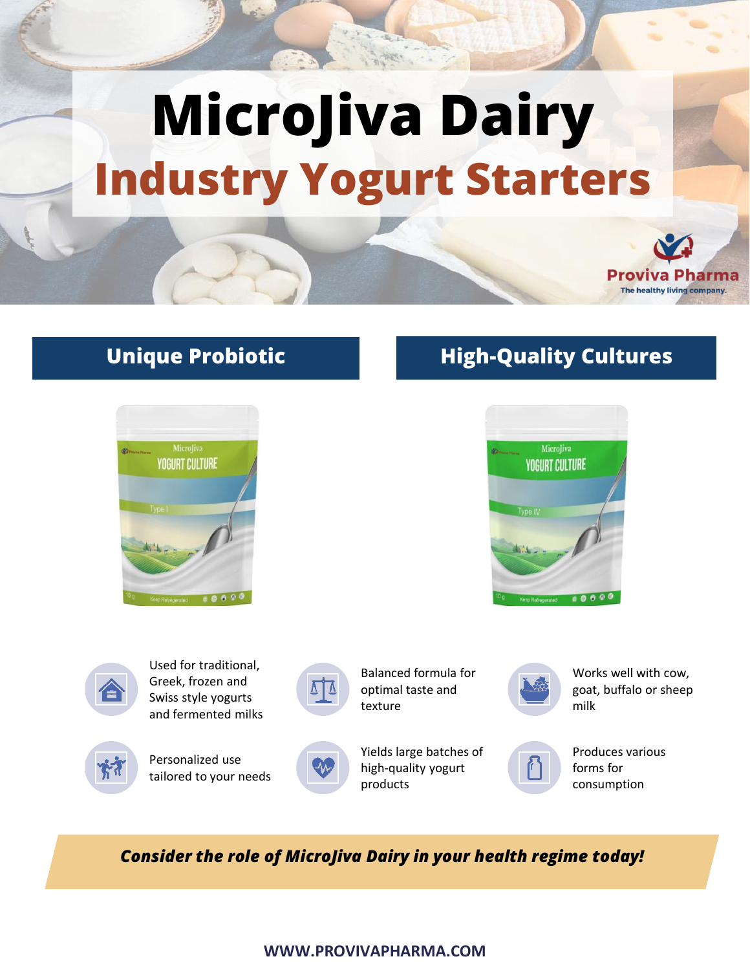# **MicroJiva Dairy Industry Yogurt Starters**



# **Unique Probiotic**

**Formulation**



# **High-Quality Cultures**





Used for traditional, Greek, frozen and Swiss style yogurts and fermented milks



Personalized use

tailored to your needs



Balanced formula for optimal taste and texture



Works well with cow, goat, buffalo or sheep milk



Produces various forms for consumption

*Consider the role of MicroJiva Dairy in your health regime today!*

### **WWW.PROVIVAPHARMA.COM**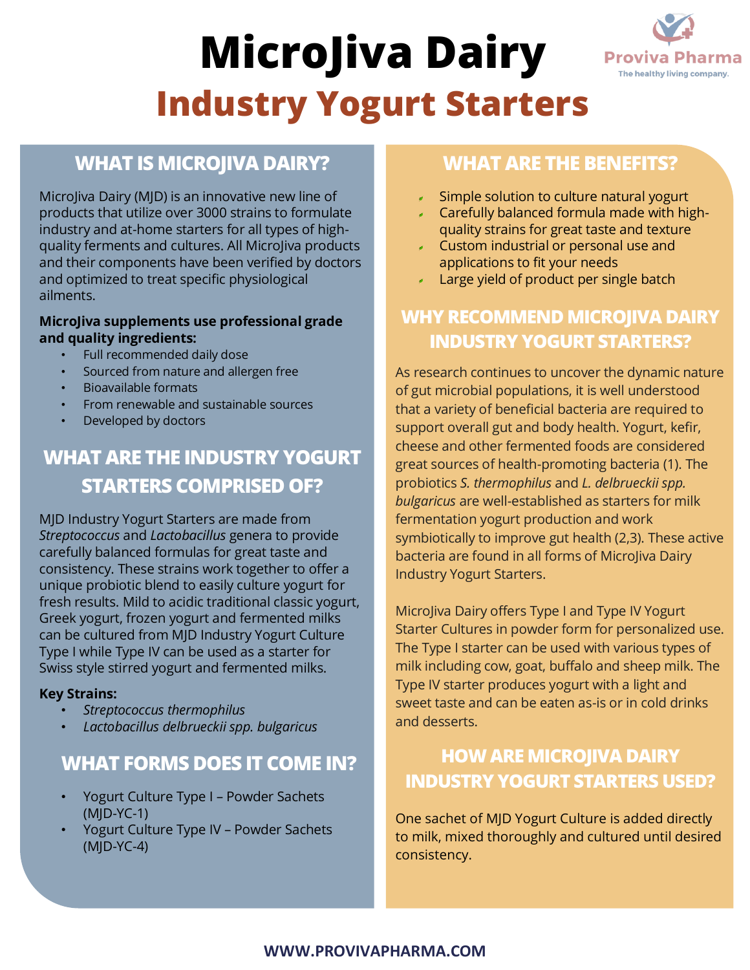# **MicroJiva Dairy Industry Yogurt Starters**



# **WHAT IS MICROJIVA DAIRY?**

MicroJiva Dairy (MJD) is an innovative new line of products that utilize over 3000 strains to formulate industry and at-home starters for all types of highquality ferments and cultures. All MicroJiva products and their components have been verified by doctors and optimized to treat specific physiological ailments.

#### **MicroJiva supplements use professional grade and quality ingredients:**

- Full recommended daily dose
- Sourced from nature and allergen free
- Bioavailable formats
- From renewable and sustainable sources
- Developed by doctors

# **WHAT ARE THE INDUSTRY YOGURT STARTERS COMPRISED OF?**

MJD Industry Yogurt Starters are made from *Streptococcus* and *Lactobacillus* genera to provide carefully balanced formulas for great taste and consistency. These strains work together to offer a unique probiotic blend to easily culture yogurt for fresh results. Mild to acidic traditional classic yogurt, Greek yogurt, frozen yogurt and fermented milks can be cultured from MJD Industry Yogurt Culture Type I while Type IV can be used as a starter for Swiss style stirred yogurt and fermented milks.

#### **Key Strains:**

- *Streptococcus thermophilus*
- *Lactobacillus delbrueckii spp. bulgaricus*

## **WHAT FORMS DOES IT COME IN?**

- Yogurt Culture Type I Powder Sachets (MJD-YC-1)
- Yogurt Culture Type IV Powder Sachets (MJD-YC-4)

## **WHAT ARE THE BENEFITS?**

- Simple solution to culture natural yogurt
- Carefully balanced formula made with highquality strains for great taste and texture
- Custom industrial or personal use and applications to fit your needs
- Large yield of product per single batch

# **WHY RECOMMEND MICROJIVA DAIRY INDUSTRY YOGURT STARTERS?**

As research continues to uncover the dynamic nature of gut microbial populations, it is well understood that a variety of beneficial bacteria are required to support overall gut and body health. Yogurt, kefir, cheese and other fermented foods are considered great sources of health-promoting bacteria (1). The probiotics *S. thermophilus* and *L. delbrueckii spp. bulgaricus* are well-established as starters for milk fermentation yogurt production and work symbiotically to improve gut health (2,3). These active bacteria are found in all forms of MicroJiva Dairy Industry Yogurt Starters.

MicroJiva Dairy offers Type I and Type IV Yogurt Starter Cultures in powder form for personalized use. The Type I starter can be used with various types of milk including cow, goat, buffalo and sheep milk. The Type IV starter produces yogurt with a light and sweet taste and can be eaten as-is or in cold drinks and desserts.

# **HOW ARE MICROJIVA DAIRY INDUSTRY YOGURT STARTERS USED?**

One sachet of MJD Yogurt Culture is added directly to milk, mixed thoroughly and cultured until desired consistency.

### **WWW.PROVIVAPHARMA.COM**